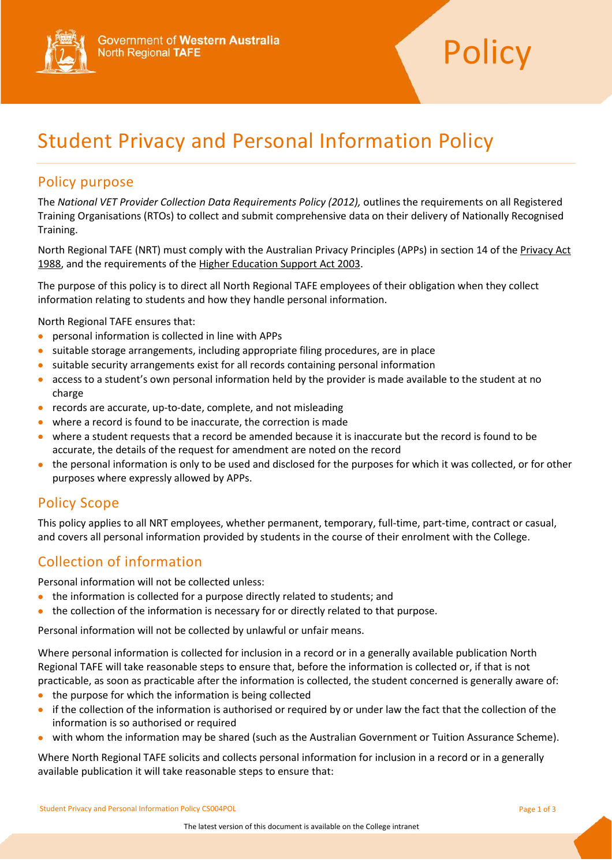



# Student Privacy and Personal Information Policy

#### Policy purpose

The *National VET Provider Collection Data Requirements Policy (2012),* outlines the requirements on all Registered Training Organisations (RTOs) to collect and submit comprehensive data on their delivery of Nationally Recognised Training.

North Regional TAFE (NRT) must comply with the Australian Privacy Principles (APPs) in section 14 of the Privacy Act [1988,](http://www.comlaw.gov.au/Series/C2004A03712) and the requirements of the Higher Education Support Act 2003.

The purpose of this policy is to direct all North Regional TAFE employees of their obligation when they collect information relating to students and how they handle personal information.

North Regional TAFE ensures that:

- personal information is collected in line with APPs
- suitable storage arrangements, including appropriate filing procedures, are in place
- suitable security arrangements exist for all records containing personal information
- access to a student's own personal information held by the provider is made available to the student at no charge
- records are accurate, up-to-date, complete, and not misleading
- where a record is found to be inaccurate, the correction is made
- where a student requests that a record be amended because it is inaccurate but the record is found to be accurate, the details of the request for amendment are noted on the record
- the personal information is only to be used and disclosed for the purposes for which it was collected, or for other purposes where expressly allowed by APPs.

## Policy Scope

This policy applies to all NRT employees, whether permanent, temporary, full-time, part-time, contract or casual, and covers all personal information provided by students in the course of their enrolment with the College.

## Collection of information

Personal information will not be collected unless:

- the information is collected for a purpose directly related to students; and
- the collection of the information is necessary for or directly related to that purpose.

Personal information will not be collected by unlawful or unfair means.

Where personal information is collected for inclusion in a record or in a generally available publication North Regional TAFE will take reasonable steps to ensure that, before the information is collected or, if that is not practicable, as soon as practicable after the information is collected, the student concerned is generally aware of:

- the purpose for which the information is being collected
- if the collection of the information is authorised or required by or under law the fact that the collection of the information is so authorised or required
- with whom the information may be shared (such as the Australian Government or Tuition Assurance Scheme).

Where North Regional TAFE solicits and collects personal information for inclusion in a record or in a generally available publication it will take reasonable steps to ensure that:

Student Privacy and Personal Information Policy CS004POL **Page 1 of 3** and 2 of 3 and 2 of 3 and 2 of 3 and 2 of 3 and 2 of 3 and 2 of 3 and 2 of 3 and 2 of 3 and 2 of 3 and 2 of 3 and 2 of 3 and 2 of 3 and 2 of 3 and 2 of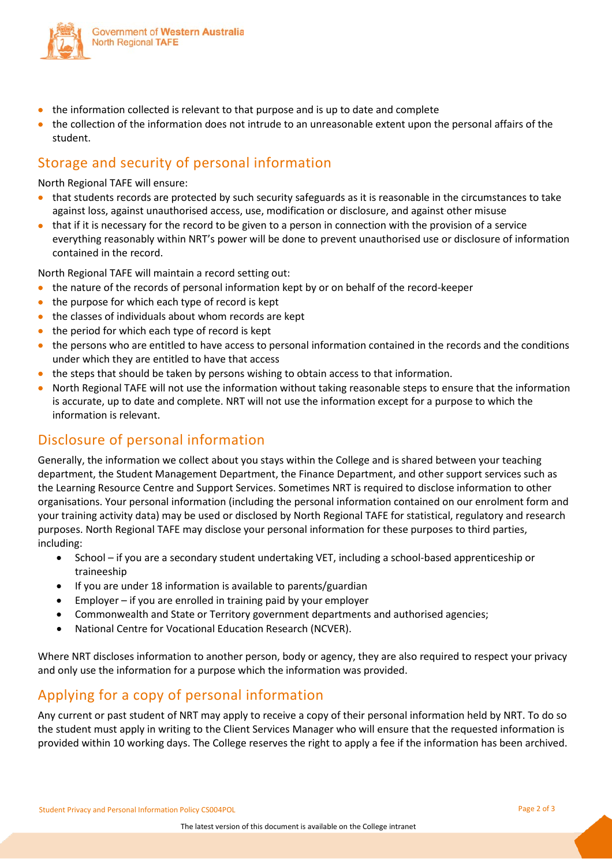

- the information collected is relevant to that purpose and is up to date and complete
- the collection of the information does not intrude to an unreasonable extent upon the personal affairs of the student.

## Storage and security of personal information

North Regional TAFE will ensure:

- that students records are protected by such security safeguards as it is reasonable in the circumstances to take against loss, against unauthorised access, use, modification or disclosure, and against other misuse
- that if it is necessary for the record to be given to a person in connection with the provision of a service everything reasonably within NRT's power will be done to prevent unauthorised use or disclosure of information contained in the record.

North Regional TAFE will maintain a record setting out:

- the nature of the records of personal information kept by or on behalf of the record-keeper
- the purpose for which each type of record is kept
- the classes of individuals about whom records are kept
- the period for which each type of record is kept
- the persons who are entitled to have access to personal information contained in the records and the conditions under which they are entitled to have that access
- the steps that should be taken by persons wishing to obtain access to that information.
- North Regional TAFE will not use the information without taking reasonable steps to ensure that the information is accurate, up to date and complete. NRT will not use the information except for a purpose to which the information is relevant.

## Disclosure of personal information

Generally, the information we collect about you stays within the College and is shared between your teaching department, the Student Management Department, the Finance Department, and other support services such as the Learning Resource Centre and Support Services. Sometimes NRT is required to disclose information to other organisations. Your personal information (including the personal information contained on our enrolment form and your training activity data) may be used or disclosed by North Regional TAFE for statistical, regulatory and research purposes. North Regional TAFE may disclose your personal information for these purposes to third parties, including:

- School if you are a secondary student undertaking VET, including a school-based apprenticeship or traineeship
- If you are under 18 information is available to parents/guardian
- Employer if you are enrolled in training paid by your employer
- Commonwealth and State or Territory government departments and authorised agencies;
- National Centre for Vocational Education Research (NCVER).

Where NRT discloses information to another person, body or agency, they are also required to respect your privacy and only use the information for a purpose which the information was provided.

## Applying for a copy of personal information

Any current or past student of NRT may apply to receive a copy of their personal information held by NRT. To do so the student must apply in writing to the Client Services Manager who will ensure that the requested information is provided within 10 working days. The College reserves the right to apply a fee if the information has been archived.